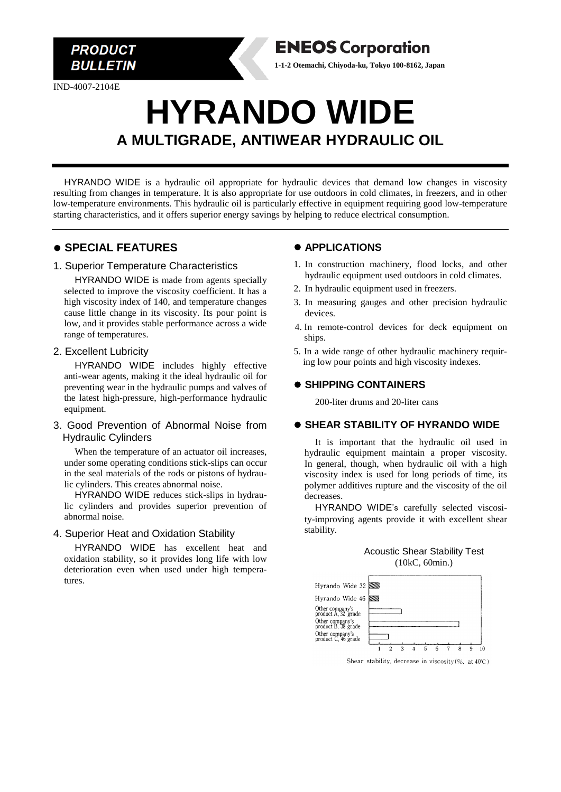

IND-4007-2104E

# **HYRANDO WIDE A MULTIGRADE, ANTIWEAR HYDRAULIC OIL**

HYRANDO WIDE is a hydraulic oil appropriate for hydraulic devices that demand low changes in viscosity resulting from changes in temperature. It is also appropriate for use outdoors in cold climates, in freezers, and in other low-temperature environments. This hydraulic oil is particularly effective in equipment requiring good low-temperature starting characteristics, and it offers superior energy savings by helping to reduce electrical consumption.

# ⚫ **SPECIAL FEATURES**

#### 1. Superior Temperature Characteristics

HYRANDO WIDE is made from agents specially selected to improve the viscosity coefficient. It has a high viscosity index of 140, and temperature changes cause little change in its viscosity. Its pour point is low, and it provides stable performance across a wide range of temperatures.

#### 2. Excellent Lubricity

HYRANDO WIDE includes highly effective anti-wear agents, making it the ideal hydraulic oil for preventing wear in the hydraulic pumps and valves of the latest high-pressure, high-performance hydraulic equipment.

#### 3. Good Prevention of Abnormal Noise from Hydraulic Cylinders

When the temperature of an actuator oil increases, under some operating conditions stick-slips can occur in the seal materials of the rods or pistons of hydraulic cylinders. This creates abnormal noise.

HYRANDO WIDE reduces stick-slips in hydraulic cylinders and provides superior prevention of abnormal noise.

#### 4. Superior Heat and Oxidation Stability

HYRANDO WIDE has excellent heat and oxidation stability, so it provides long life with low deterioration even when used under high temperatures.

# ⚫ **APPLICATIONS**

**ENEOS Corporation 1-1-2 Otemachi, Chiyoda-ku, Tokyo 100-8162, Japan**

- 1. In construction machinery, flood locks, and other hydraulic equipment used outdoors in cold climates.
- 2. In hydraulic equipment used in freezers.
- 3. In measuring gauges and other precision hydraulic devices.
- 4. In remote-control devices for deck equipment on ships.
- 5. In a wide range of other hydraulic machinery requiring low pour points and high viscosity indexes.

## ⚫ **SHIPPING CONTAINERS**

200-liter drums and 20-liter cans

#### ⚫ **SHEAR STABILITY OF HYRANDO WIDE**

It is important that the hydraulic oil used in hydraulic equipment maintain a proper viscosity. In general, though, when hydraulic oil with a high viscosity index is used for long periods of time, its polymer additives rupture and the viscosity of the oil decreases.

HYRANDO WIDE's carefully selected viscosity-improving agents provide it with excellent shear stability.

#### Acoustic Shear Stability Test (10kC, 60min.)

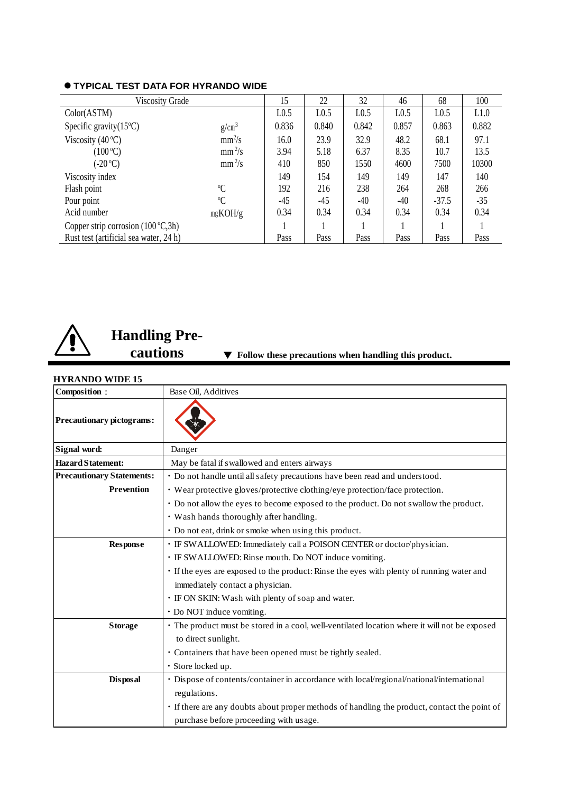| <b>Viscosity Grade</b>                 |             | 15               | 22    | 32    | 46               | 68               | 100   |
|----------------------------------------|-------------|------------------|-------|-------|------------------|------------------|-------|
| Color(ASTM)                            |             | L <sub>0.5</sub> | L0.5  | L0.5  | L <sub>0.5</sub> | L <sub>0.5</sub> | L1.0  |
| Specific gravity $(15^{\circ}C)$       | $g/cm^3$    | 0.836            | 0.840 | 0.842 | 0.857            | 0.863            | 0.882 |
| Viscosity $(40^{\circ}C)$              | $mm^2/s$    | 16.0             | 23.9  | 32.9  | 48.2             | 68.1             | 97.1  |
| $(100\degree C)$                       | $mm^2/s$    | 3.94             | 5.18  | 6.37  | 8.35             | 10.7             | 13.5  |
| $(-20 °C)$                             | $mm^2/s$    | 410              | 850   | 1550  | 4600             | 7500             | 10300 |
| Viscosity index                        |             | 149              | 154   | 149   | 149              | 147              | 140   |
| Flash point                            | $\rm ^{0}C$ | 192              | 216   | 238   | 264              | 268              | 266   |
| Pour point                             | $\rm ^{0}C$ | $-45$            | $-45$ | $-40$ | $-40$            | $-37.5$          | $-35$ |
| Acid number                            | mgKOH/g     | 0.34             | 0.34  | 0.34  | 0.34             | 0.34             | 0.34  |
| Copper strip corrosion $(100 °C, 3h)$  |             |                  |       |       |                  |                  |       |
| Rust test (artificial sea water, 24 h) |             | Pass             | Pass  | Pass  | Pass             | Pass             | Pass  |

## ⚫ **TYPICAL TEST DATA FOR HYRANDO WIDE**



# **Handling Pre-**

# **cautions** ▼ **Follow these precautions when handling this product.**

| <b>HYRANDO WIDE 15</b>           |                                                                                               |  |
|----------------------------------|-----------------------------------------------------------------------------------------------|--|
| Composition:                     | Base Oil. Additives                                                                           |  |
| <b>Precautionary pictograms:</b> |                                                                                               |  |
| Signal word:                     | Danger                                                                                        |  |
| <b>Hazard Statement:</b>         | May be fatal if swallowed and enters airways                                                  |  |
| <b>Precautionary Statements:</b> | · Do not handle until all safety precautions have been read and understood.                   |  |
| <b>Prevention</b>                | • Wear protective gloves/protective clothing/eye protection/face protection.                  |  |
|                                  | • Do not allow the eyes to become exposed to the product. Do not swallow the product.         |  |
|                                  | · Wash hands thoroughly after handling.                                                       |  |
|                                  | • Do not eat, drink or smoke when using this product.                                         |  |
| <b>Response</b>                  | · IF SWALLOWED: Immediately call a POISON CENTER or doctor/physician.                         |  |
|                                  | · IF SWALLOWED: Rinse mouth. Do NOT induce vomiting.                                          |  |
|                                  | · If the eyes are exposed to the product: Rinse the eyes with plenty of running water and     |  |
|                                  | immediately contact a physician.                                                              |  |
|                                  | · IF ON SKIN: Wash with plenty of soap and water.                                             |  |
|                                  | • Do NOT induce vomiting.                                                                     |  |
| <b>Storage</b>                   | • The product must be stored in a cool, well-ventilated location where it will not be exposed |  |
|                                  | to direct sunlight.                                                                           |  |
|                                  | · Containers that have been opened must be tightly sealed.                                    |  |
|                                  | · Store locked up.                                                                            |  |
| <b>Disposal</b>                  | · Dispose of contents/container in accordance with local/regional/national/international      |  |
|                                  | regulations.                                                                                  |  |
|                                  | · If there are any doubts about proper methods of handling the product, contact the point of  |  |
|                                  | purchase before proceeding with usage.                                                        |  |